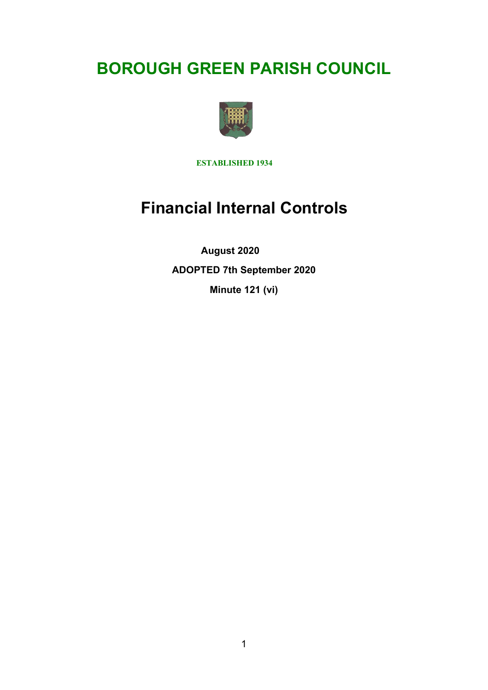# **BOROUGH GREEN PARISH COUNCIL**



**ESTABLISHED 1934**

## **Financial Internal Controls**

 **August 2020 ADOPTED 7th September 2020 Minute 121 (vi)**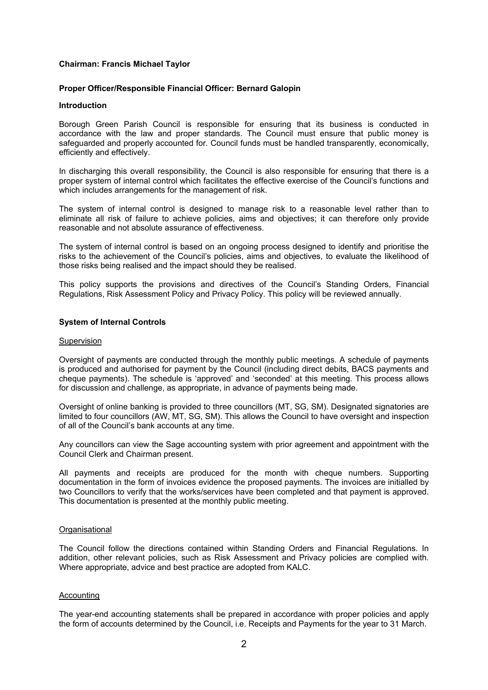## **Chairman: Francis Michael Taylor**

## **Proper Officer/Responsible Financial Officer: Bernard Galopin**

#### **Introduction**

Borough Green Parish Council is responsible for ensuring that its business is conducted in accordance with the law and proper standards. The Council must ensure that public money is safeguarded and properly accounted for. Council funds must be handled transparently, economically, efficiently and effectively.

In discharging this overall responsibility, the Council is also responsible for ensuring that there is a proper system of internal control which facilitates the effective exercise of the Council's functions and which includes arrangements for the management of risk.

The system of internal control is designed to manage risk to a reasonable level rather than to eliminate all risk of failure to achieve policies, aims and objectives; it can therefore only provide reasonable and not absolute assurance of effectiveness.

The system of internal control is based on an ongoing process designed to identify and prioritise the risks to the achievement of the Council's policies, aims and objectives, to evaluate the likelihood of those risks being realised and the impact should they be realised.

This policy supports the provisions and directives of the Council's Standing Orders, Financial Regulations, Risk Assessment Policy and Privacy Policy. This policy will be reviewed annually.

## **System of Internal Controls**

#### Supervision

Oversight of payments are conducted through the monthly public meetings. A schedule of payments is produced and authorised for payment by the Council (including direct debits, BACS payments and cheque payments). The schedule is 'approved' and 'seconded' at this meeting. This process allows for discussion and challenge, as appropriate, in advance of payments being made.

Oversight of online banking is provided to three councillors (MT, SG, SM). Designated signatories are limited to four councillors (AW, MT, SG, SM). This allows the Council to have oversight and inspection of all of the Council's bank accounts at any time.

Any councillors can view the Sage accounting system with prior agreement and appointment with the Council Clerk and Chairman present.

All payments and receipts are produced for the month with cheque numbers. Supporting documentation in the form of invoices evidence the proposed payments. The invoices are initialled by two Councillors to verify that the works/services have been completed and that payment is approved. This documentation is presented at the monthly public meeting.

## **Organisational**

The Council follow the directions contained within Standing Orders and Financial Regulations. In addition, other relevant policies, such as Risk Assessment and Privacy policies are complied with. Where appropriate, advice and best practice are adopted from KALC.

## Accounting

The year-end accounting statements shall be prepared in accordance with proper policies and apply the form of accounts determined by the Council, i.e. Receipts and Payments for the year to 31 March.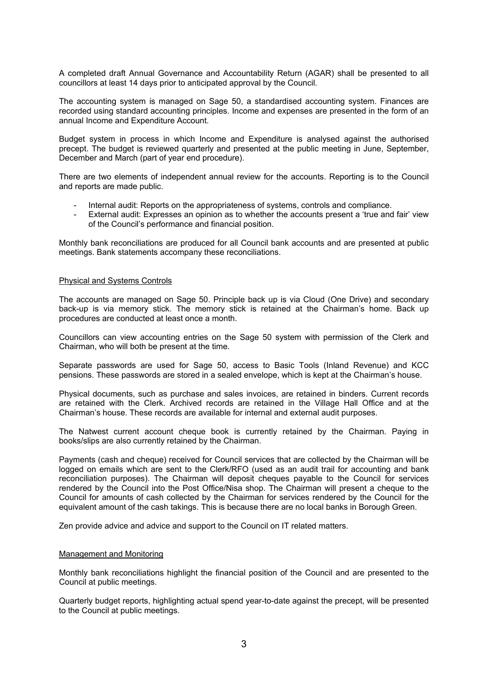A completed draft Annual Governance and Accountability Return (AGAR) shall be presented to all councillors at least 14 days prior to anticipated approval by the Council.

The accounting system is managed on Sage 50, a standardised accounting system. Finances are recorded using standard accounting principles. Income and expenses are presented in the form of an annual Income and Expenditure Account.

Budget system in process in which Income and Expenditure is analysed against the authorised precept. The budget is reviewed quarterly and presented at the public meeting in June, September, December and March (part of year end procedure).

There are two elements of independent annual review for the accounts. Reporting is to the Council and reports are made public.

- Internal audit: Reports on the appropriateness of systems, controls and compliance.
- External audit: Expresses an opinion as to whether the accounts present a 'true and fair' view of the Council's performance and financial position.

Monthly bank reconciliations are produced for all Council bank accounts and are presented at public meetings. Bank statements accompany these reconciliations.

#### Physical and Systems Controls

The accounts are managed on Sage 50. Principle back up is via Cloud (One Drive) and secondary back-up is via memory stick. The memory stick is retained at the Chairman's home. Back up procedures are conducted at least once a month.

Councillors can view accounting entries on the Sage 50 system with permission of the Clerk and Chairman, who will both be present at the time.

Separate passwords are used for Sage 50, access to Basic Tools (Inland Revenue) and KCC pensions. These passwords are stored in a sealed envelope, which is kept at the Chairman's house.

Physical documents, such as purchase and sales invoices, are retained in binders. Current records are retained with the Clerk. Archived records are retained in the Village Hall Office and at the Chairman's house. These records are available for internal and external audit purposes.

The Natwest current account cheque book is currently retained by the Chairman. Paying in books/slips are also currently retained by the Chairman.

Payments (cash and cheque) received for Council services that are collected by the Chairman will be logged on emails which are sent to the Clerk/RFO (used as an audit trail for accounting and bank reconciliation purposes). The Chairman will deposit cheques payable to the Council for services rendered by the Council into the Post Office/Nisa shop. The Chairman will present a cheque to the Council for amounts of cash collected by the Chairman for services rendered by the Council for the equivalent amount of the cash takings. This is because there are no local banks in Borough Green.

Zen provide advice and advice and support to the Council on IT related matters.

#### Management and Monitoring

Monthly bank reconciliations highlight the financial position of the Council and are presented to the Council at public meetings.

Quarterly budget reports, highlighting actual spend year-to-date against the precept, will be presented to the Council at public meetings.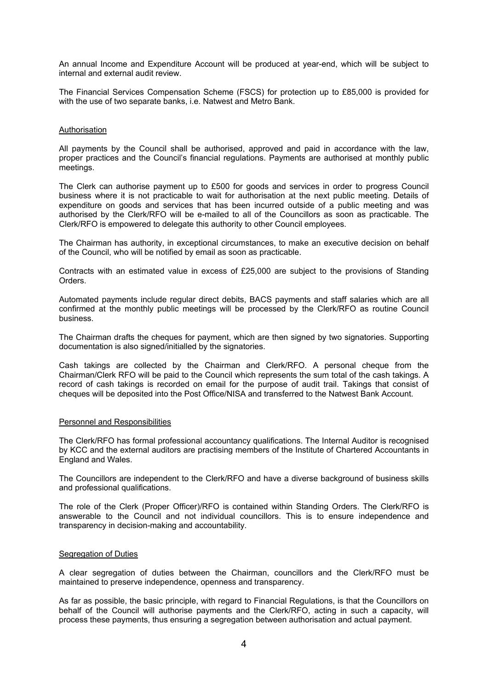An annual Income and Expenditure Account will be produced at year-end, which will be subject to internal and external audit review.

The Financial Services Compensation Scheme (FSCS) for protection up to £85,000 is provided for with the use of two separate banks, i.e. Natwest and Metro Bank.

#### **Authorisation**

All payments by the Council shall be authorised, approved and paid in accordance with the law, proper practices and the Council's financial regulations. Payments are authorised at monthly public meetings.

The Clerk can authorise payment up to £500 for goods and services in order to progress Council business where it is not practicable to wait for authorisation at the next public meeting. Details of expenditure on goods and services that has been incurred outside of a public meeting and was authorised by the Clerk/RFO will be e-mailed to all of the Councillors as soon as practicable. The Clerk/RFO is empowered to delegate this authority to other Council employees.

The Chairman has authority, in exceptional circumstances, to make an executive decision on behalf of the Council, who will be notified by email as soon as practicable.

Contracts with an estimated value in excess of £25,000 are subject to the provisions of Standing Orders.

Automated payments include regular direct debits, BACS payments and staff salaries which are all confirmed at the monthly public meetings will be processed by the Clerk/RFO as routine Council business.

The Chairman drafts the cheques for payment, which are then signed by two signatories. Supporting documentation is also signed/initialled by the signatories.

Cash takings are collected by the Chairman and Clerk/RFO. A personal cheque from the Chairman/Clerk RFO will be paid to the Council which represents the sum total of the cash takings. A record of cash takings is recorded on email for the purpose of audit trail. Takings that consist of cheques will be deposited into the Post Office/NISA and transferred to the Natwest Bank Account.

## Personnel and Responsibilities

The Clerk/RFO has formal professional accountancy qualifications. The Internal Auditor is recognised by KCC and the external auditors are practising members of the Institute of Chartered Accountants in England and Wales.

The Councillors are independent to the Clerk/RFO and have a diverse background of business skills and professional qualifications.

The role of the Clerk (Proper Officer)/RFO is contained within Standing Orders. The Clerk/RFO is answerable to the Council and not individual councillors. This is to ensure independence and transparency in decision-making and accountability.

#### Segregation of Duties

A clear segregation of duties between the Chairman, councillors and the Clerk/RFO must be maintained to preserve independence, openness and transparency.

As far as possible, the basic principle, with regard to Financial Regulations, is that the Councillors on behalf of the Council will authorise payments and the Clerk/RFO, acting in such a capacity, will process these payments, thus ensuring a segregation between authorisation and actual payment.